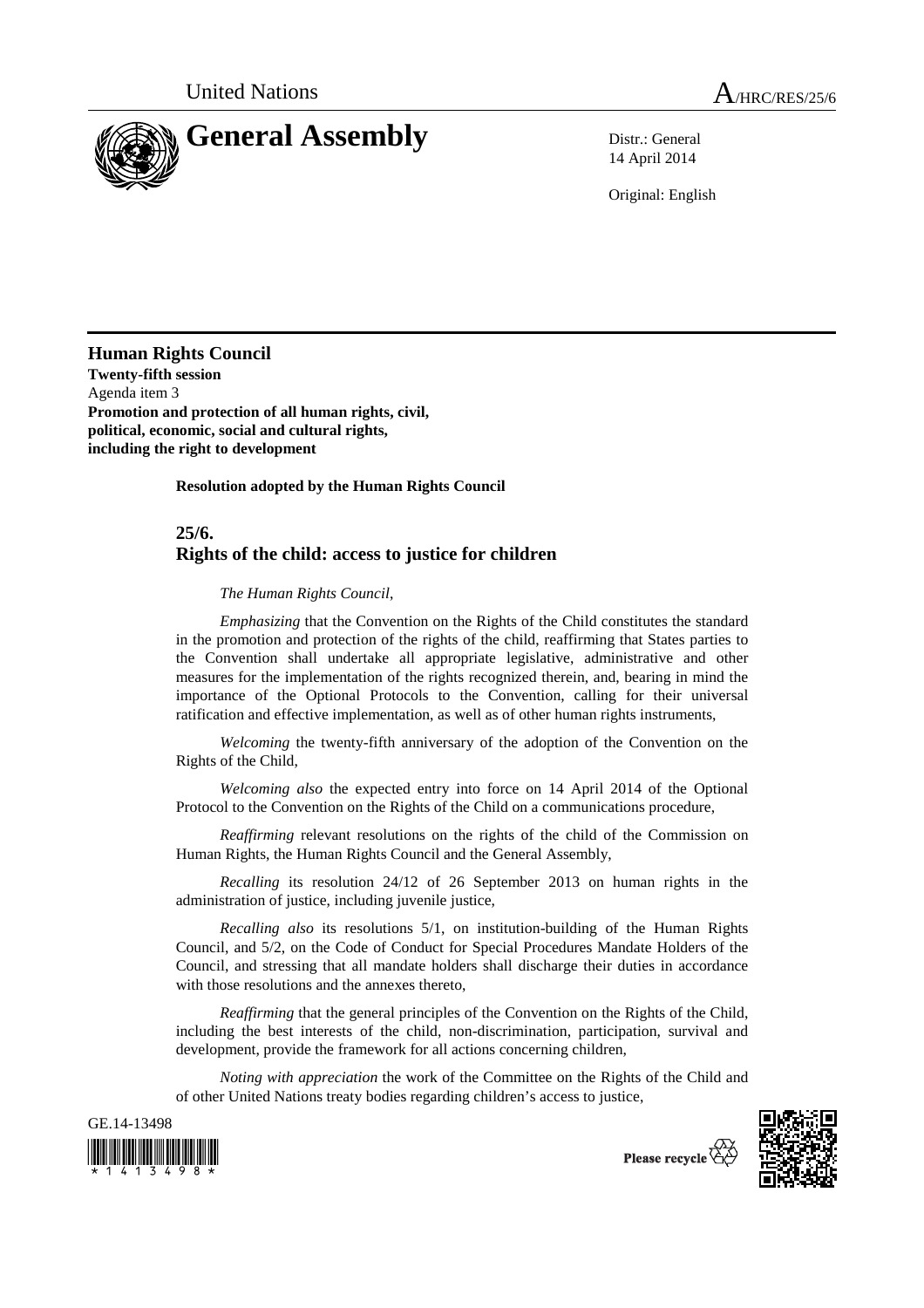

14 April 2014

Original: English

**Human Rights Council Twenty-fifth session**  Agenda item 3 **Promotion and protection of all human rights, civil, political, economic, social and cultural rights, including the right to development** 

 **Resolution adopted by the Human Rights Council** 

## **25/6. Rights of the child: access to justice for children**

 *The Human Rights Council*,

*Emphasizing* that the Convention on the Rights of the Child constitutes the standard in the promotion and protection of the rights of the child, reaffirming that States parties to the Convention shall undertake all appropriate legislative, administrative and other measures for the implementation of the rights recognized therein, and, bearing in mind the importance of the Optional Protocols to the Convention, calling for their universal ratification and effective implementation, as well as of other human rights instruments,

*Welcoming* the twenty-fifth anniversary of the adoption of the Convention on the Rights of the Child,

*Welcoming also* the expected entry into force on 14 April 2014 of the Optional Protocol to the Convention on the Rights of the Child on a communications procedure,

*Reaffirming* relevant resolutions on the rights of the child of the Commission on Human Rights, the Human Rights Council and the General Assembly,

*Recalling* its resolution 24/12 of 26 September 2013 on human rights in the administration of justice, including juvenile justice,

*Recalling also* its resolutions 5/1, on institution-building of the Human Rights Council, and 5/2, on the Code of Conduct for Special Procedures Mandate Holders of the Council, and stressing that all mandate holders shall discharge their duties in accordance with those resolutions and the annexes thereto,

*Reaffirming* that the general principles of the Convention on the Rights of the Child, including the best interests of the child, non-discrimination, participation, survival and development, provide the framework for all actions concerning children,

*Noting with appreciation* the work of the Committee on the Rights of the Child and of other United Nations treaty bodies regarding children's access to justice,





Please recycle  $\check{\mathfrak{C}}$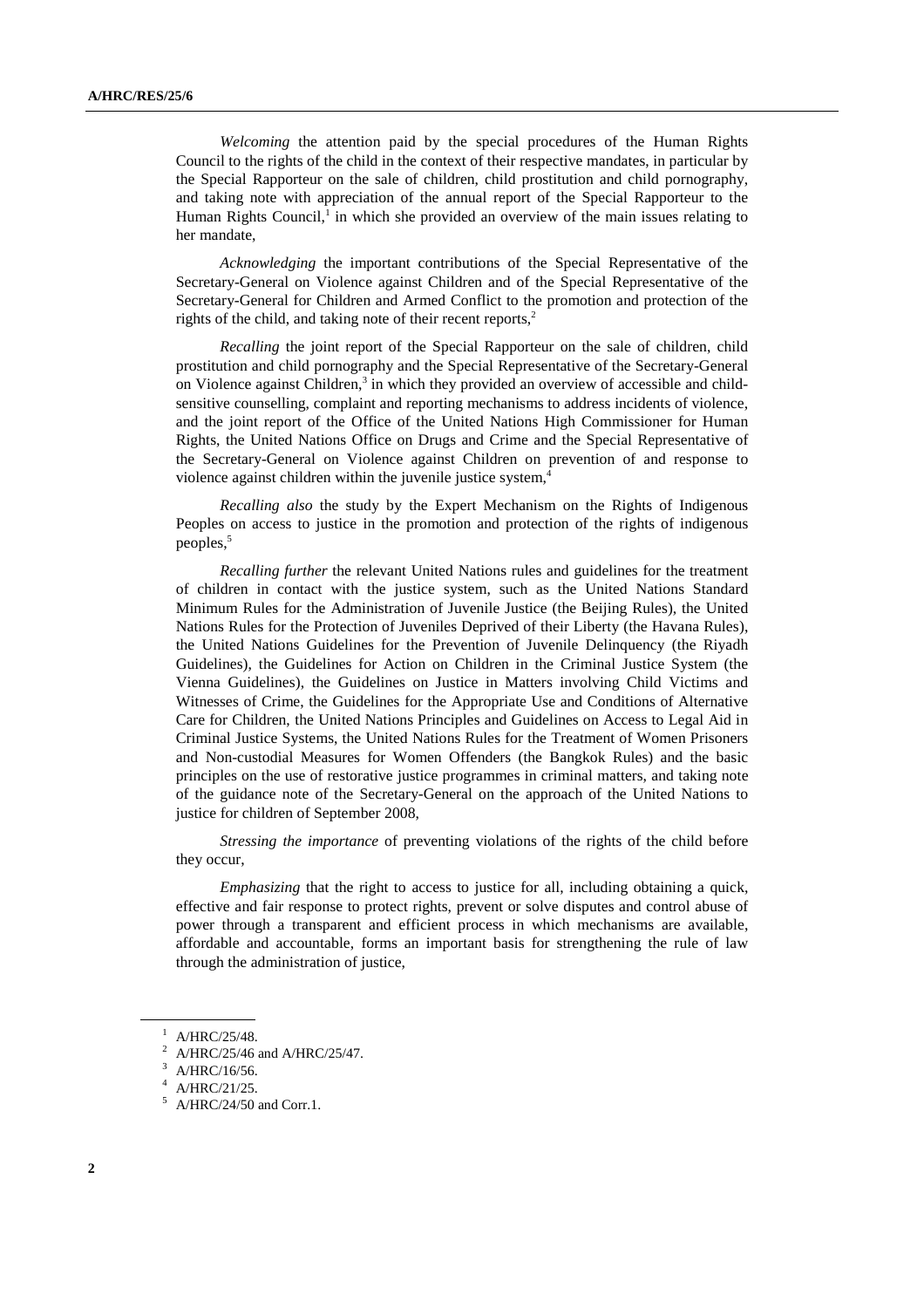*Welcoming* the attention paid by the special procedures of the Human Rights Council to the rights of the child in the context of their respective mandates, in particular by the Special Rapporteur on the sale of children, child prostitution and child pornography, and taking note with appreciation of the annual report of the Special Rapporteur to the Human Rights Council,<sup>1</sup> in which she provided an overview of the main issues relating to her mandate,

*Acknowledging* the important contributions of the Special Representative of the Secretary-General on Violence against Children and of the Special Representative of the Secretary-General for Children and Armed Conflict to the promotion and protection of the rights of the child, and taking note of their recent reports. $<sup>2</sup>$ </sup>

*Recalling* the joint report of the Special Rapporteur on the sale of children, child prostitution and child pornography and the Special Representative of the Secretary-General on Violence against Children,<sup>3</sup> in which they provided an overview of accessible and childsensitive counselling, complaint and reporting mechanisms to address incidents of violence, and the joint report of the Office of the United Nations High Commissioner for Human Rights, the United Nations Office on Drugs and Crime and the Special Representative of the Secretary-General on Violence against Children on prevention of and response to violence against children within the juvenile justice system,<sup>4</sup>

*Recalling also* the study by the Expert Mechanism on the Rights of Indigenous Peoples on access to justice in the promotion and protection of the rights of indigenous peoples,<sup>5</sup>

*Recalling further* the relevant United Nations rules and guidelines for the treatment of children in contact with the justice system, such as the United Nations Standard Minimum Rules for the Administration of Juvenile Justice (the Beijing Rules), the United Nations Rules for the Protection of Juveniles Deprived of their Liberty (the Havana Rules), the United Nations Guidelines for the Prevention of Juvenile Delinquency (the Riyadh Guidelines), the Guidelines for Action on Children in the Criminal Justice System (the Vienna Guidelines), the Guidelines on Justice in Matters involving Child Victims and Witnesses of Crime, the Guidelines for the Appropriate Use and Conditions of Alternative Care for Children, the United Nations Principles and Guidelines on Access to Legal Aid in Criminal Justice Systems, the United Nations Rules for the Treatment of Women Prisoners and Non-custodial Measures for Women Offenders (the Bangkok Rules) and the basic principles on the use of restorative justice programmes in criminal matters, and taking note of the guidance note of the Secretary-General on the approach of the United Nations to justice for children of September 2008.

*Stressing the importance* of preventing violations of the rights of the child before they occur,

*Emphasizing* that the right to access to justice for all, including obtaining a quick, effective and fair response to protect rights, prevent or solve disputes and control abuse of power through a transparent and efficient process in which mechanisms are available, affordable and accountable, forms an important basis for strengthening the rule of law through the administration of justice,

 $^1$  A/HRC/25/48.

<sup>2</sup> A/HRC/25/46 and A/HRC/25/47.

 $^3$  A/HRC/16/56.

<sup>4</sup> A/HRC/21/25.

 $<sup>5</sup>$  A/HRC/24/50 and Corr.1.</sup>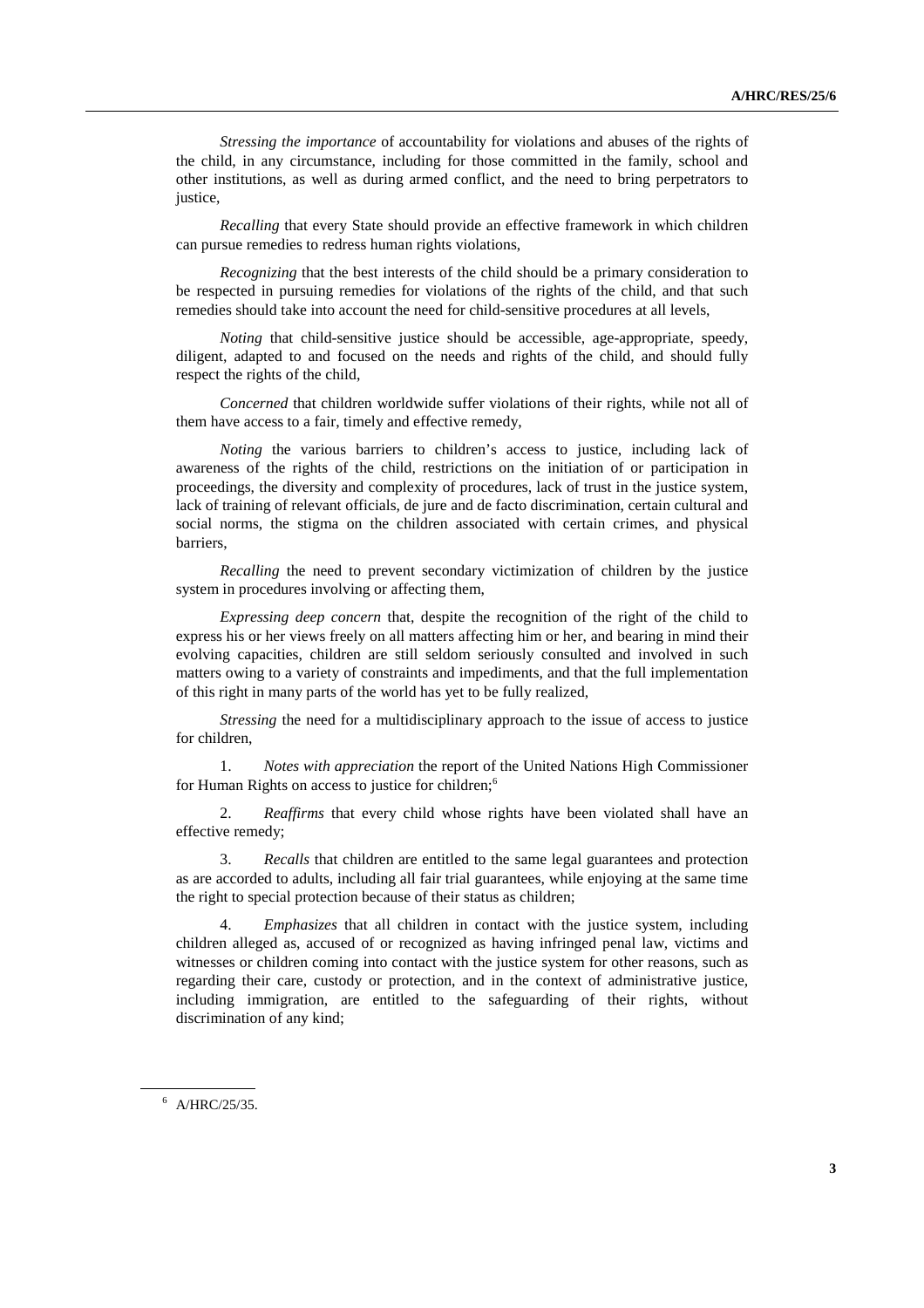*Stressing the importance* of accountability for violations and abuses of the rights of the child, in any circumstance, including for those committed in the family, school and other institutions, as well as during armed conflict, and the need to bring perpetrators to justice.

*Recalling* that every State should provide an effective framework in which children can pursue remedies to redress human rights violations,

*Recognizing* that the best interests of the child should be a primary consideration to be respected in pursuing remedies for violations of the rights of the child, and that such remedies should take into account the need for child-sensitive procedures at all levels,

*Noting* that child-sensitive justice should be accessible, age-appropriate, speedy, diligent, adapted to and focused on the needs and rights of the child, and should fully respect the rights of the child,

*Concerned* that children worldwide suffer violations of their rights, while not all of them have access to a fair, timely and effective remedy,

*Noting* the various barriers to children's access to justice, including lack of awareness of the rights of the child, restrictions on the initiation of or participation in proceedings, the diversity and complexity of procedures, lack of trust in the justice system, lack of training of relevant officials, de jure and de facto discrimination, certain cultural and social norms, the stigma on the children associated with certain crimes, and physical barriers,

*Recalling* the need to prevent secondary victimization of children by the justice system in procedures involving or affecting them,

*Expressing deep concern* that, despite the recognition of the right of the child to express his or her views freely on all matters affecting him or her, and bearing in mind their evolving capacities, children are still seldom seriously consulted and involved in such matters owing to a variety of constraints and impediments, and that the full implementation of this right in many parts of the world has yet to be fully realized,

*Stressing* the need for a multidisciplinary approach to the issue of access to justice for children,

1. *Notes with appreciation* the report of the United Nations High Commissioner for Human Rights on access to justice for children;<sup>6</sup>

2. *Reaffirms* that every child whose rights have been violated shall have an effective remedy;

3. *Recalls* that children are entitled to the same legal guarantees and protection as are accorded to adults, including all fair trial guarantees, while enjoying at the same time the right to special protection because of their status as children;

4. *Emphasizes* that all children in contact with the justice system, including children alleged as, accused of or recognized as having infringed penal law, victims and witnesses or children coming into contact with the justice system for other reasons, such as regarding their care, custody or protection, and in the context of administrative justice, including immigration, are entitled to the safeguarding of their rights, without discrimination of any kind;

6 A/HRC/25/35.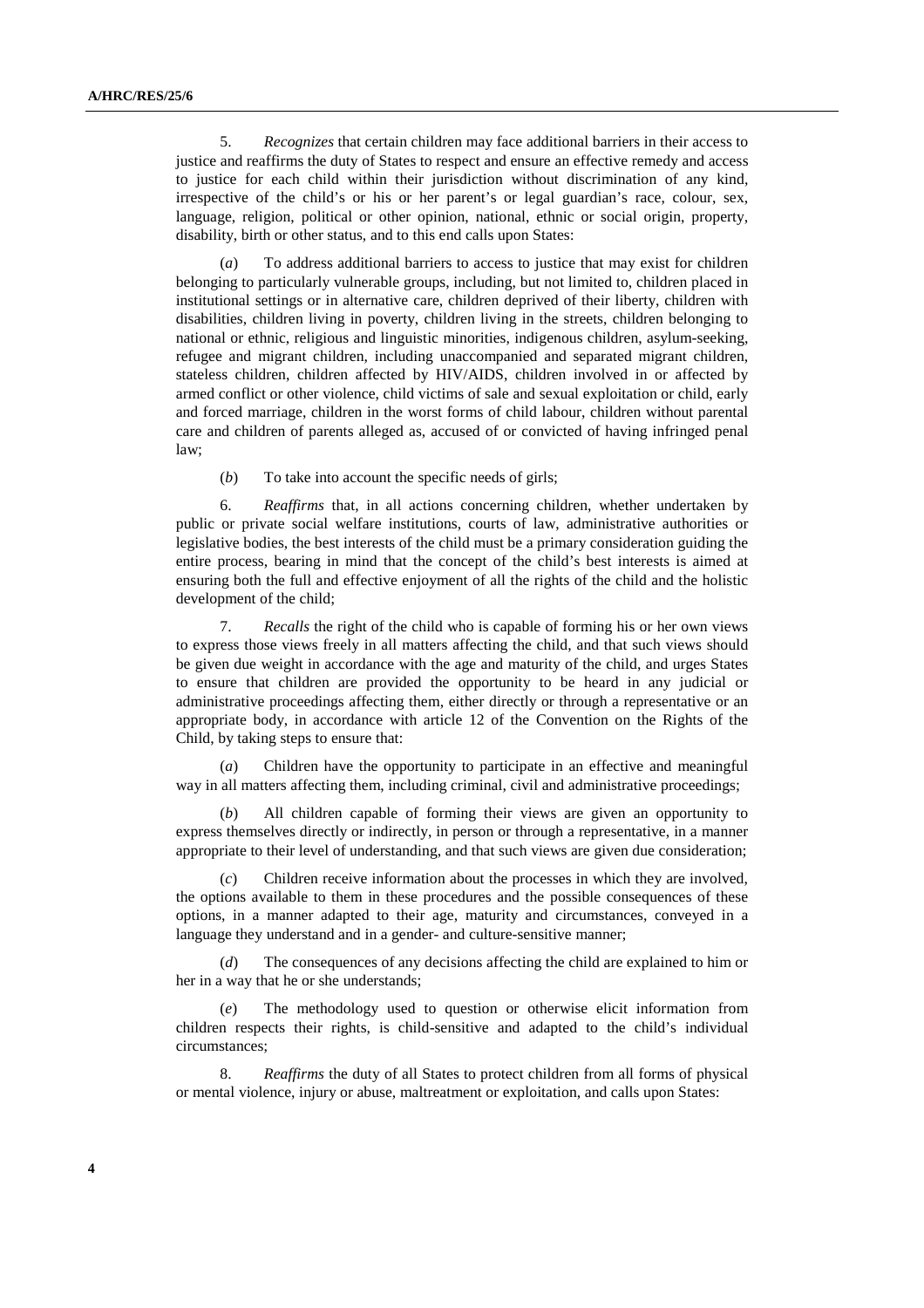5. *Recognizes* that certain children may face additional barriers in their access to justice and reaffirms the duty of States to respect and ensure an effective remedy and access to justice for each child within their jurisdiction without discrimination of any kind, irrespective of the child's or his or her parent's or legal guardian's race, colour, sex, language, religion, political or other opinion, national, ethnic or social origin, property, disability, birth or other status, and to this end calls upon States:

(*a*) To address additional barriers to access to justice that may exist for children belonging to particularly vulnerable groups, including, but not limited to, children placed in institutional settings or in alternative care, children deprived of their liberty, children with disabilities, children living in poverty, children living in the streets, children belonging to national or ethnic, religious and linguistic minorities, indigenous children, asylum-seeking, refugee and migrant children, including unaccompanied and separated migrant children, stateless children, children affected by HIV/AIDS, children involved in or affected by armed conflict or other violence, child victims of sale and sexual exploitation or child, early and forced marriage, children in the worst forms of child labour, children without parental care and children of parents alleged as, accused of or convicted of having infringed penal law;

(*b*) To take into account the specific needs of girls;

6. *Reaffirms* that, in all actions concerning children, whether undertaken by public or private social welfare institutions, courts of law, administrative authorities or legislative bodies, the best interests of the child must be a primary consideration guiding the entire process, bearing in mind that the concept of the child's best interests is aimed at ensuring both the full and effective enjoyment of all the rights of the child and the holistic development of the child;

7. *Recalls* the right of the child who is capable of forming his or her own views to express those views freely in all matters affecting the child, and that such views should be given due weight in accordance with the age and maturity of the child, and urges States to ensure that children are provided the opportunity to be heard in any judicial or administrative proceedings affecting them, either directly or through a representative or an appropriate body, in accordance with article 12 of the Convention on the Rights of the Child, by taking steps to ensure that:

Children have the opportunity to participate in an effective and meaningful way in all matters affecting them, including criminal, civil and administrative proceedings;

(*b*) All children capable of forming their views are given an opportunity to express themselves directly or indirectly, in person or through a representative, in a manner appropriate to their level of understanding, and that such views are given due consideration;

(*c*) Children receive information about the processes in which they are involved, the options available to them in these procedures and the possible consequences of these options, in a manner adapted to their age, maturity and circumstances, conveyed in a language they understand and in a gender- and culture-sensitive manner;

(*d*) The consequences of any decisions affecting the child are explained to him or her in a way that he or she understands;

(*e*) The methodology used to question or otherwise elicit information from children respects their rights, is child-sensitive and adapted to the child's individual circumstances;

8. *Reaffirms* the duty of all States to protect children from all forms of physical or mental violence, injury or abuse, maltreatment or exploitation, and calls upon States: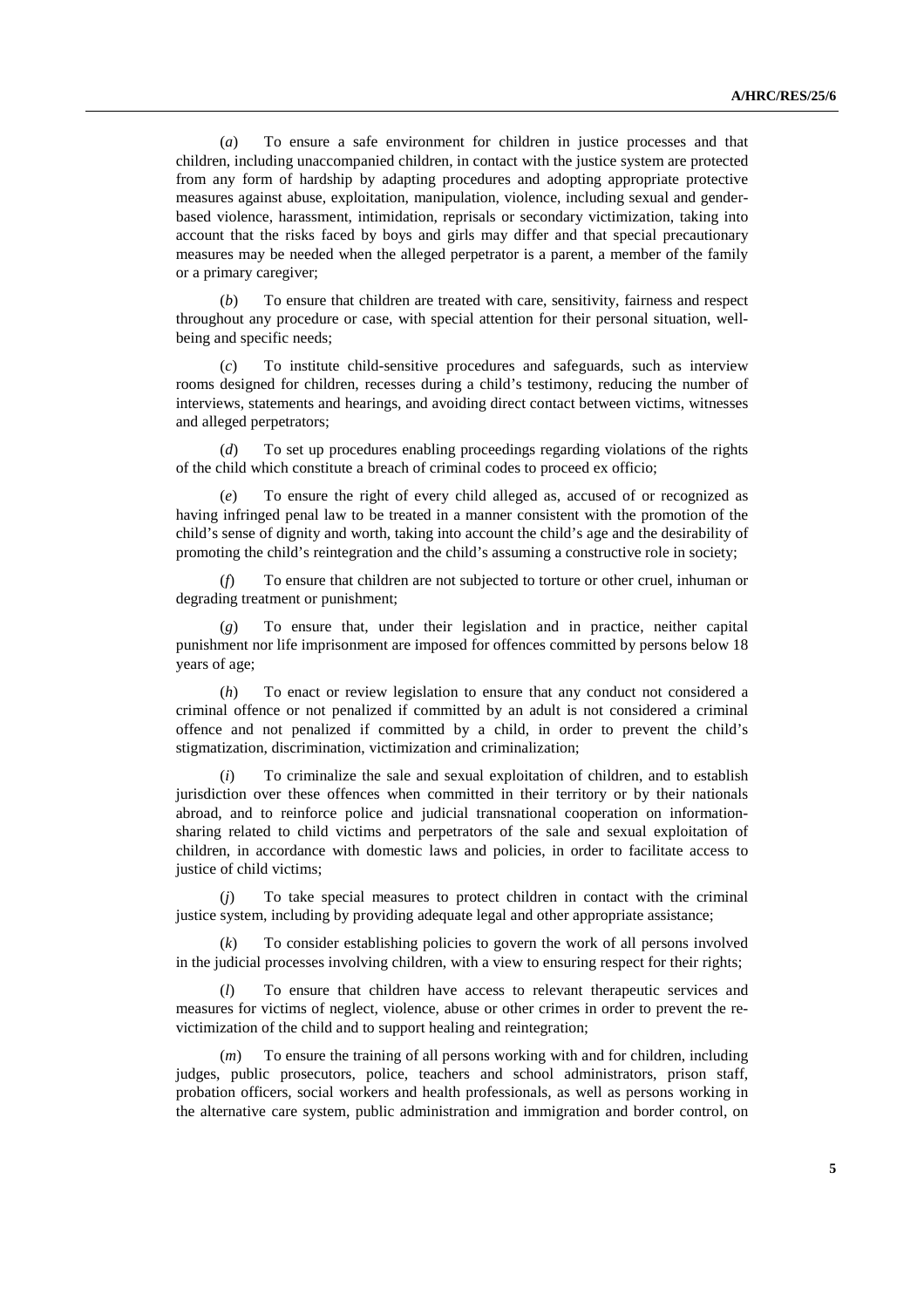(*a*) To ensure a safe environment for children in justice processes and that children, including unaccompanied children, in contact with the justice system are protected from any form of hardship by adapting procedures and adopting appropriate protective measures against abuse, exploitation, manipulation, violence, including sexual and genderbased violence, harassment, intimidation, reprisals or secondary victimization, taking into account that the risks faced by boys and girls may differ and that special precautionary measures may be needed when the alleged perpetrator is a parent, a member of the family or a primary caregiver;

(*b*) To ensure that children are treated with care, sensitivity, fairness and respect throughout any procedure or case, with special attention for their personal situation, wellbeing and specific needs;

(*c*) To institute child-sensitive procedures and safeguards, such as interview rooms designed for children, recesses during a child's testimony, reducing the number of interviews, statements and hearings, and avoiding direct contact between victims, witnesses and alleged perpetrators;

To set up procedures enabling proceedings regarding violations of the rights of the child which constitute a breach of criminal codes to proceed ex officio;

(*e*) To ensure the right of every child alleged as, accused of or recognized as having infringed penal law to be treated in a manner consistent with the promotion of the child's sense of dignity and worth, taking into account the child's age and the desirability of promoting the child's reintegration and the child's assuming a constructive role in society;

(*f*) To ensure that children are not subjected to torture or other cruel, inhuman or degrading treatment or punishment;

(*g*) To ensure that, under their legislation and in practice, neither capital punishment nor life imprisonment are imposed for offences committed by persons below 18 years of age;

(*h*) To enact or review legislation to ensure that any conduct not considered a criminal offence or not penalized if committed by an adult is not considered a criminal offence and not penalized if committed by a child, in order to prevent the child's stigmatization, discrimination, victimization and criminalization;

(*i*) To criminalize the sale and sexual exploitation of children, and to establish jurisdiction over these offences when committed in their territory or by their nationals abroad, and to reinforce police and judicial transnational cooperation on informationsharing related to child victims and perpetrators of the sale and sexual exploitation of children, in accordance with domestic laws and policies, in order to facilitate access to justice of child victims;

To take special measures to protect children in contact with the criminal justice system, including by providing adequate legal and other appropriate assistance;

(*k*) To consider establishing policies to govern the work of all persons involved in the judicial processes involving children, with a view to ensuring respect for their rights;

(*l*) To ensure that children have access to relevant therapeutic services and measures for victims of neglect, violence, abuse or other crimes in order to prevent the revictimization of the child and to support healing and reintegration;

(*m*) To ensure the training of all persons working with and for children, including judges, public prosecutors, police, teachers and school administrators, prison staff, probation officers, social workers and health professionals, as well as persons working in the alternative care system, public administration and immigration and border control, on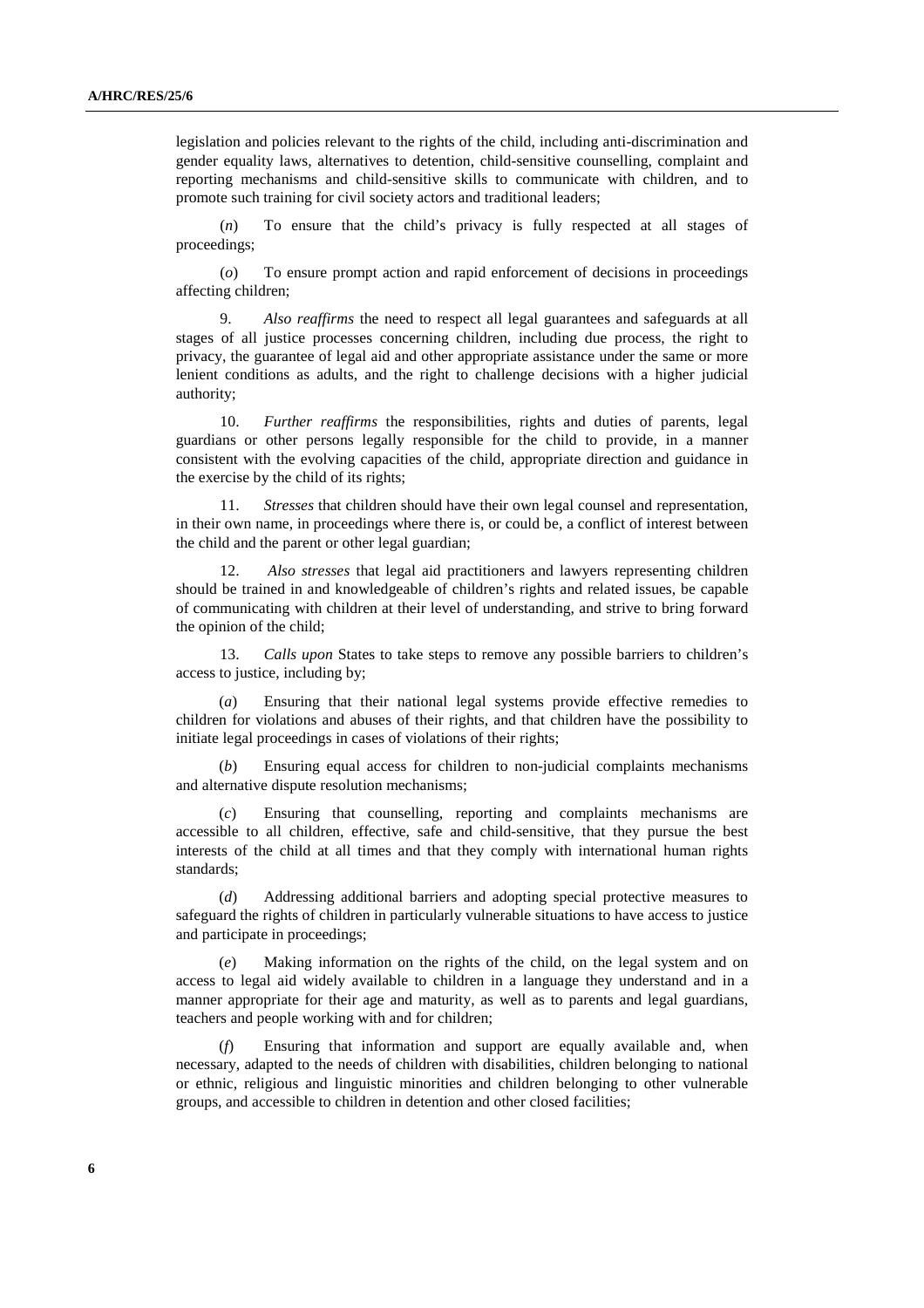legislation and policies relevant to the rights of the child, including anti-discrimination and gender equality laws, alternatives to detention, child-sensitive counselling, complaint and reporting mechanisms and child-sensitive skills to communicate with children, and to promote such training for civil society actors and traditional leaders;

(*n*) To ensure that the child's privacy is fully respected at all stages of proceedings;

(*o*) To ensure prompt action and rapid enforcement of decisions in proceedings affecting children;

9. *Also reaffirms* the need to respect all legal guarantees and safeguards at all stages of all justice processes concerning children, including due process, the right to privacy, the guarantee of legal aid and other appropriate assistance under the same or more lenient conditions as adults, and the right to challenge decisions with a higher judicial authority;

10. *Further reaffirms* the responsibilities, rights and duties of parents, legal guardians or other persons legally responsible for the child to provide, in a manner consistent with the evolving capacities of the child, appropriate direction and guidance in the exercise by the child of its rights;

11. *Stresses* that children should have their own legal counsel and representation, in their own name, in proceedings where there is, or could be, a conflict of interest between the child and the parent or other legal guardian;

12. *Also stresses* that legal aid practitioners and lawyers representing children should be trained in and knowledgeable of children's rights and related issues, be capable of communicating with children at their level of understanding, and strive to bring forward the opinion of the child;

13. *Calls upon* States to take steps to remove any possible barriers to children's access to justice, including by;

(*a*) Ensuring that their national legal systems provide effective remedies to children for violations and abuses of their rights, and that children have the possibility to initiate legal proceedings in cases of violations of their rights;

(*b*) Ensuring equal access for children to non-judicial complaints mechanisms and alternative dispute resolution mechanisms;

(*c*) Ensuring that counselling, reporting and complaints mechanisms are accessible to all children, effective, safe and child-sensitive, that they pursue the best interests of the child at all times and that they comply with international human rights standards;

(*d*) Addressing additional barriers and adopting special protective measures to safeguard the rights of children in particularly vulnerable situations to have access to justice and participate in proceedings;

Making information on the rights of the child, on the legal system and on access to legal aid widely available to children in a language they understand and in a manner appropriate for their age and maturity, as well as to parents and legal guardians, teachers and people working with and for children;

(*f*) Ensuring that information and support are equally available and, when necessary, adapted to the needs of children with disabilities, children belonging to national or ethnic, religious and linguistic minorities and children belonging to other vulnerable groups, and accessible to children in detention and other closed facilities;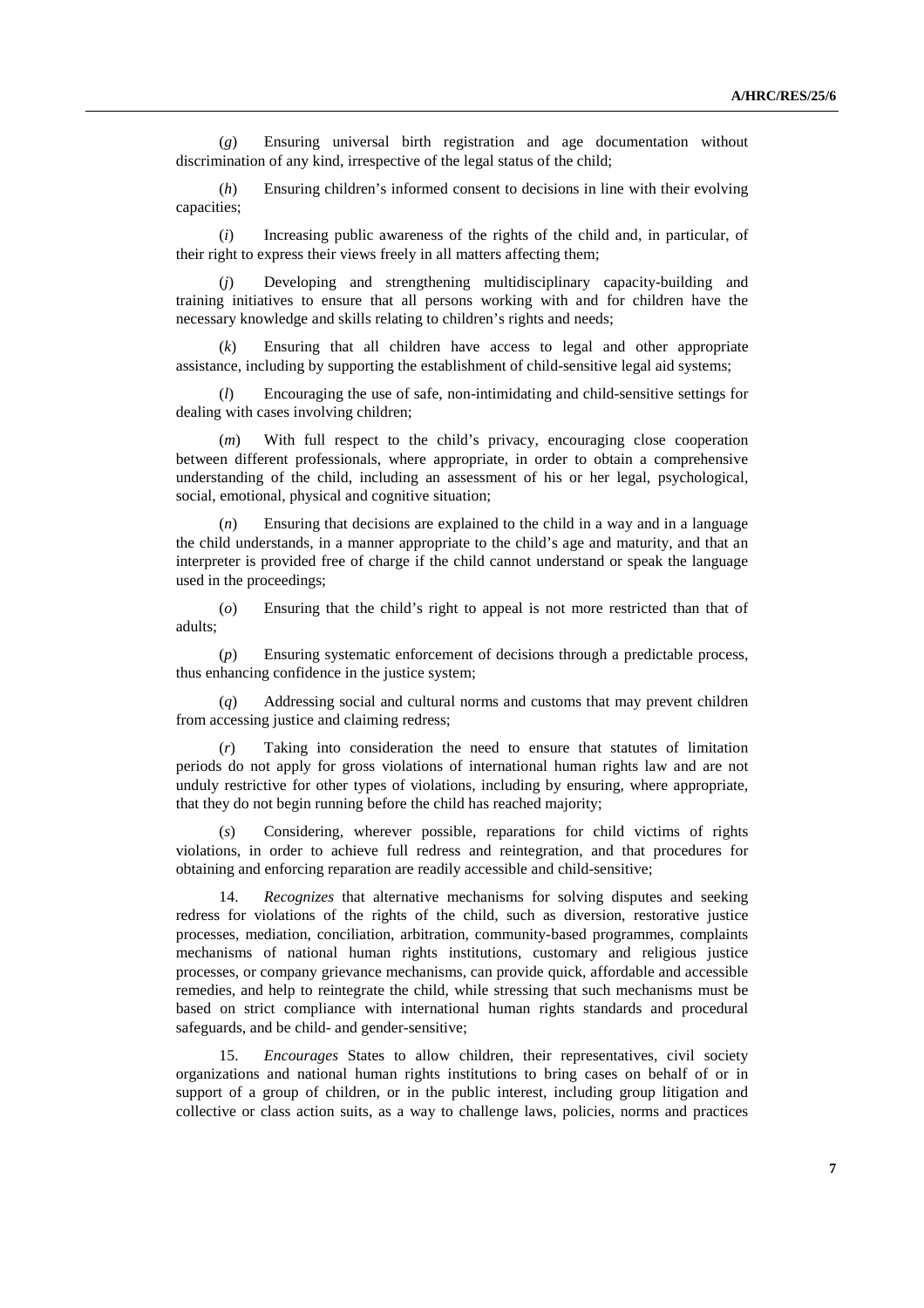(*g*) Ensuring universal birth registration and age documentation without discrimination of any kind, irrespective of the legal status of the child;

(*h*) Ensuring children's informed consent to decisions in line with their evolving capacities;

(*i*) Increasing public awareness of the rights of the child and, in particular, of their right to express their views freely in all matters affecting them;

(*j*) Developing and strengthening multidisciplinary capacity-building and training initiatives to ensure that all persons working with and for children have the necessary knowledge and skills relating to children's rights and needs;

Ensuring that all children have access to legal and other appropriate assistance, including by supporting the establishment of child-sensitive legal aid systems;

(*l*) Encouraging the use of safe, non-intimidating and child-sensitive settings for dealing with cases involving children;

(*m*) With full respect to the child's privacy, encouraging close cooperation between different professionals, where appropriate, in order to obtain a comprehensive understanding of the child, including an assessment of his or her legal, psychological, social, emotional, physical and cognitive situation;

(*n*) Ensuring that decisions are explained to the child in a way and in a language the child understands, in a manner appropriate to the child's age and maturity, and that an interpreter is provided free of charge if the child cannot understand or speak the language used in the proceedings;

(*o*) Ensuring that the child's right to appeal is not more restricted than that of adults;

(*p*) Ensuring systematic enforcement of decisions through a predictable process, thus enhancing confidence in the justice system;

(*q*) Addressing social and cultural norms and customs that may prevent children from accessing justice and claiming redress;

(*r*) Taking into consideration the need to ensure that statutes of limitation periods do not apply for gross violations of international human rights law and are not unduly restrictive for other types of violations, including by ensuring, where appropriate, that they do not begin running before the child has reached majority;

(*s*) Considering, wherever possible, reparations for child victims of rights violations, in order to achieve full redress and reintegration, and that procedures for obtaining and enforcing reparation are readily accessible and child-sensitive;

14. *Recognizes* that alternative mechanisms for solving disputes and seeking redress for violations of the rights of the child, such as diversion, restorative justice processes, mediation, conciliation, arbitration, community-based programmes, complaints mechanisms of national human rights institutions, customary and religious justice processes, or company grievance mechanisms, can provide quick, affordable and accessible remedies, and help to reintegrate the child, while stressing that such mechanisms must be based on strict compliance with international human rights standards and procedural safeguards, and be child- and gender-sensitive;

15. *Encourages* States to allow children, their representatives, civil society organizations and national human rights institutions to bring cases on behalf of or in support of a group of children, or in the public interest, including group litigation and collective or class action suits, as a way to challenge laws, policies, norms and practices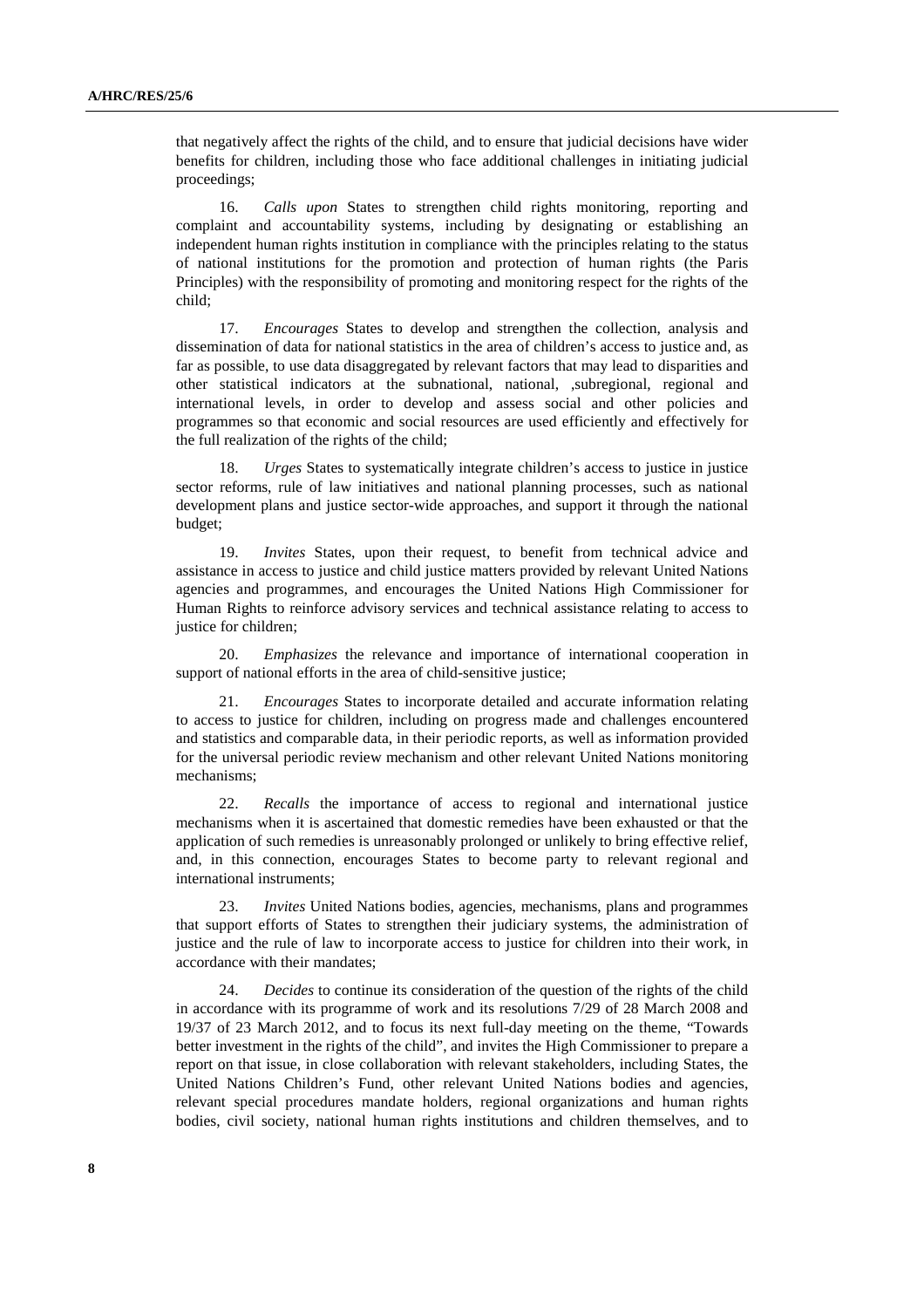that negatively affect the rights of the child, and to ensure that judicial decisions have wider benefits for children, including those who face additional challenges in initiating judicial proceedings;

16. *Calls upon* States to strengthen child rights monitoring, reporting and complaint and accountability systems, including by designating or establishing an independent human rights institution in compliance with the principles relating to the status of national institutions for the promotion and protection of human rights (the Paris Principles) with the responsibility of promoting and monitoring respect for the rights of the child;

17. *Encourages* States to develop and strengthen the collection, analysis and dissemination of data for national statistics in the area of children's access to justice and, as far as possible, to use data disaggregated by relevant factors that may lead to disparities and other statistical indicators at the subnational, national, ,subregional, regional and international levels, in order to develop and assess social and other policies and programmes so that economic and social resources are used efficiently and effectively for the full realization of the rights of the child;

18. *Urges* States to systematically integrate children's access to justice in justice sector reforms, rule of law initiatives and national planning processes, such as national development plans and justice sector-wide approaches, and support it through the national budget;

19. *Invites* States, upon their request, to benefit from technical advice and assistance in access to justice and child justice matters provided by relevant United Nations agencies and programmes, and encourages the United Nations High Commissioner for Human Rights to reinforce advisory services and technical assistance relating to access to justice for children;

20. *Emphasizes* the relevance and importance of international cooperation in support of national efforts in the area of child-sensitive justice;

21. *Encourages* States to incorporate detailed and accurate information relating to access to justice for children, including on progress made and challenges encountered and statistics and comparable data, in their periodic reports, as well as information provided for the universal periodic review mechanism and other relevant United Nations monitoring mechanisms;

22. *Recalls* the importance of access to regional and international justice mechanisms when it is ascertained that domestic remedies have been exhausted or that the application of such remedies is unreasonably prolonged or unlikely to bring effective relief, and, in this connection, encourages States to become party to relevant regional and international instruments;

23. *Invites* United Nations bodies, agencies, mechanisms, plans and programmes that support efforts of States to strengthen their judiciary systems, the administration of justice and the rule of law to incorporate access to justice for children into their work, in accordance with their mandates;

24. *Decides* to continue its consideration of the question of the rights of the child in accordance with its programme of work and its resolutions 7/29 of 28 March 2008 and 19/37 of 23 March 2012, and to focus its next full-day meeting on the theme, "Towards better investment in the rights of the child", and invites the High Commissioner to prepare a report on that issue, in close collaboration with relevant stakeholders, including States, the United Nations Children's Fund, other relevant United Nations bodies and agencies, relevant special procedures mandate holders, regional organizations and human rights bodies, civil society, national human rights institutions and children themselves, and to